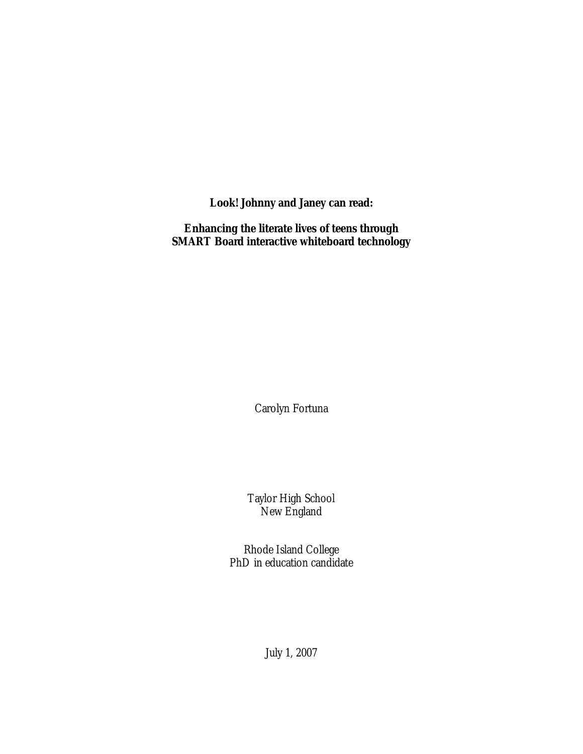**Look! Johnny and Janey c***an* **read:** 

**Enhancing the literate lives of teens through SMART Board interactive whiteboard technology**

Carolyn Fortuna

Taylor High School New England

Rhode Island College PhD in education candidate

July 1, 2007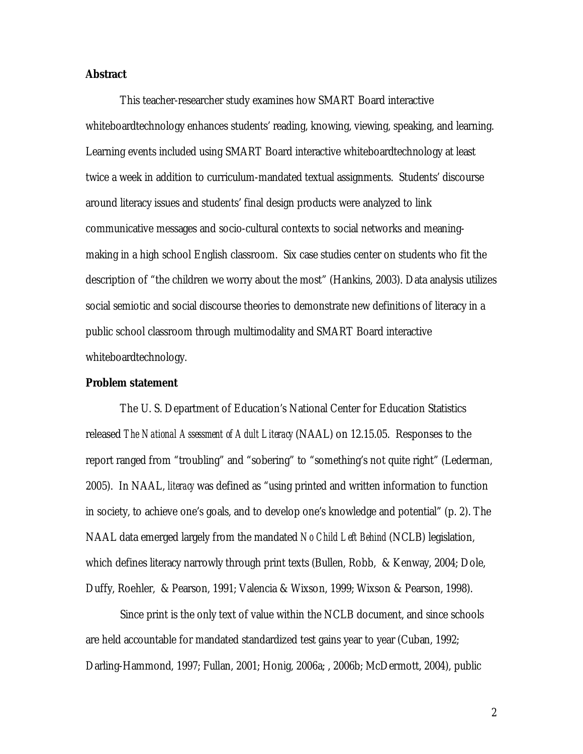### **Abstract**

This teacher-researcher study examines how SMART Board interactive whiteboardtechnology enhances students' reading, knowing, viewing, speaking, and learning. Learning events included using SMART Board interactive whiteboardtechnology at least twice a week in addition to curriculum-mandated textual assignments. Students' discourse around literacy issues and students' final design products were analyzed to link communicative messages and socio-cultural contexts to social networks and meaningmaking in a high school English classroom. Six case studies center on students who fit the description of "the children we worry about the most" (Hankins, 2003). Data analysis utilizes social semiotic and social discourse theories to demonstrate new definitions of literacy in a public school classroom through multimodality and SMART Board interactive whiteboardtechnology.

### **Problem statement**

The U. S. Department of Education's National Center for Education Statistics released *The National Assessment of Adult Literacy* (NAAL) on 12.15.05. Responses to the report ranged from "troubling" and "sobering" to "something's not quite right" (Lederman, 2005). In NAAL, *literacy* was defined as "using printed and written information to function in society, to achieve one's goals, and to develop one's knowledge and potential" (p. 2). The NAAL data emerged largely from the mandated *No Child Left Behind* (NCLB) legislation, which defines literacy narrowly through print texts (Bullen, Robb, & Kenway, 2004; Dole, Duffy, Roehler, & Pearson, 1991; Valencia & Wixson, 1999; Wixson & Pearson, 1998).

Since print is the only text of value within the NCLB document, and since schools are held accountable for mandated standardized test gains year to year (Cuban, 1992; Darling-Hammond, 1997; Fullan, 2001; Honig, 2006a; , 2006b; McDermott, 2004), public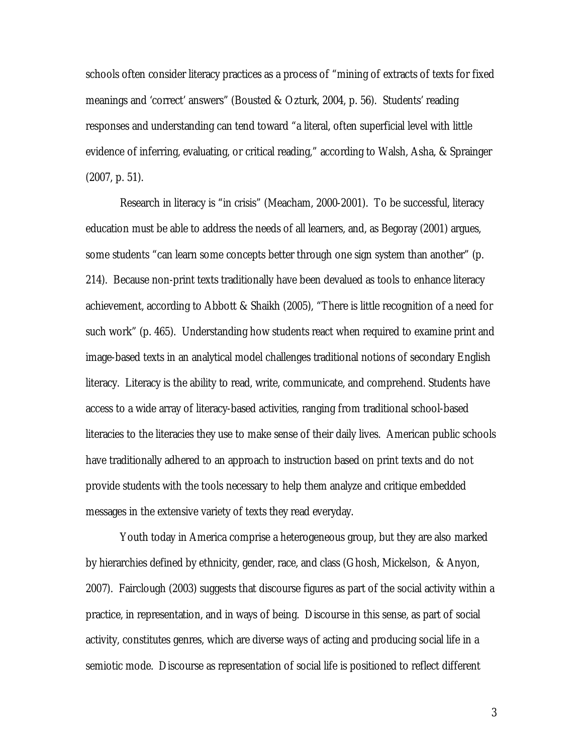schools often consider literacy practices as a process of "mining of extracts of texts for fixed meanings and 'correct' answers" (Bousted & Ozturk, 2004, p. 56). Students' reading responses and understanding can tend toward "a literal, often superficial level with little evidence of inferring, evaluating, or critical reading," according to Walsh, Asha, & Sprainger (2007, p. 51).

Research in literacy is "in crisis" (Meacham, 2000-2001). To be successful, literacy education must be able to address the needs of all learners, and, as Begoray (2001) argues, some students "can learn some concepts better through one sign system than another" (p. 214). Because non-print texts traditionally have been devalued as tools to enhance literacy achievement, according to Abbott & Shaikh (2005), "There is little recognition of a need for such work" (p. 465). Understanding how students react when required to examine print and image-based texts in an analytical model challenges traditional notions of secondary English literacy. Literacy is the ability to read, write, communicate, and comprehend. Students have access to a wide array of literacy-based activities, ranging from traditional school-based literacies to the literacies they use to make sense of their daily lives. American public schools have traditionally adhered to an approach to instruction based on print texts and do not provide students with the tools necessary to help them analyze and critique embedded messages in the extensive variety of texts they read everyday.

Youth today in America comprise a heterogeneous group, but they are also marked by hierarchies defined by ethnicity, gender, race, and class (Ghosh, Mickelson, & Anyon, 2007). Fairclough (2003) suggests that discourse figures as part of the social activity within a practice, in representation, and in ways of being. Discourse in this sense, as part of social activity, constitutes genres, which are diverse ways of acting and producing social life in a semiotic mode. Discourse as representation of social life is positioned to reflect different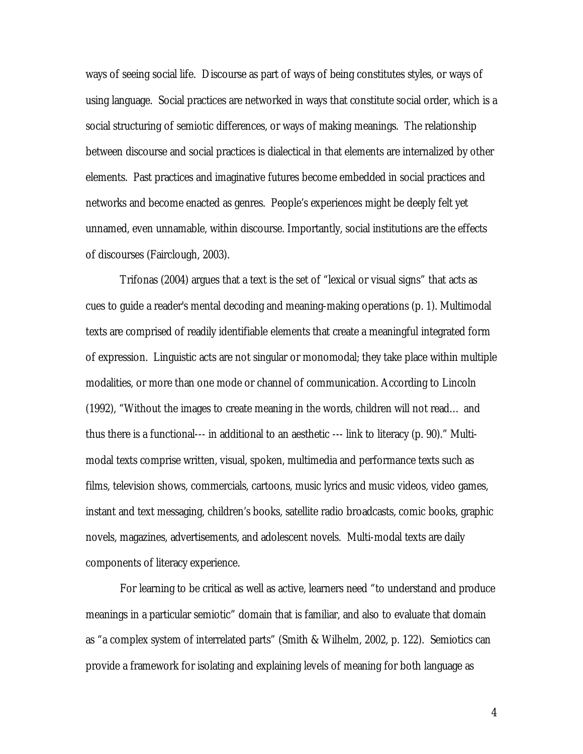ways of seeing social life. Discourse as part of ways of being constitutes styles, or ways of using language. Social practices are networked in ways that constitute social order, which is a social structuring of semiotic differences, or ways of making meanings. The relationship between discourse and social practices is dialectical in that elements are internalized by other elements. Past practices and imaginative futures become embedded in social practices and networks and become enacted as genres. People's experiences might be deeply felt yet unnamed, even unnamable, within discourse. Importantly, social institutions are the effects of discourses (Fairclough, 2003).

Trifonas (2004) argues that a text is the set of "lexical or visual signs" that acts as cues to guide a reader's mental decoding and meaning-making operations (p. 1). Multimodal texts are comprised of readily identifiable elements that create a meaningful integrated form of expression. Linguistic acts are not singular or monomodal; they take place within multiple modalities, or more than one mode or channel of communication. According to Lincoln (1992), "Without the images to create meaning in the words, children will not read… and thus there is a functional--- in additional to an aesthetic --- link to literacy (p. 90)." Multimodal texts comprise written, visual, spoken, multimedia and performance texts such as films, television shows, commercials, cartoons, music lyrics and music videos, video games, instant and text messaging, children's books, satellite radio broadcasts, comic books, graphic novels, magazines, advertisements, and adolescent novels. Multi-modal texts are daily components of literacy experience.

For learning to be critical as well as active, learners need "to understand and produce meanings in a particular semiotic" domain that is familiar, and also to evaluate that domain as "a complex system of interrelated parts" (Smith & Wilhelm, 2002, p. 122). Semiotics can provide a framework for isolating and explaining levels of meaning for both language as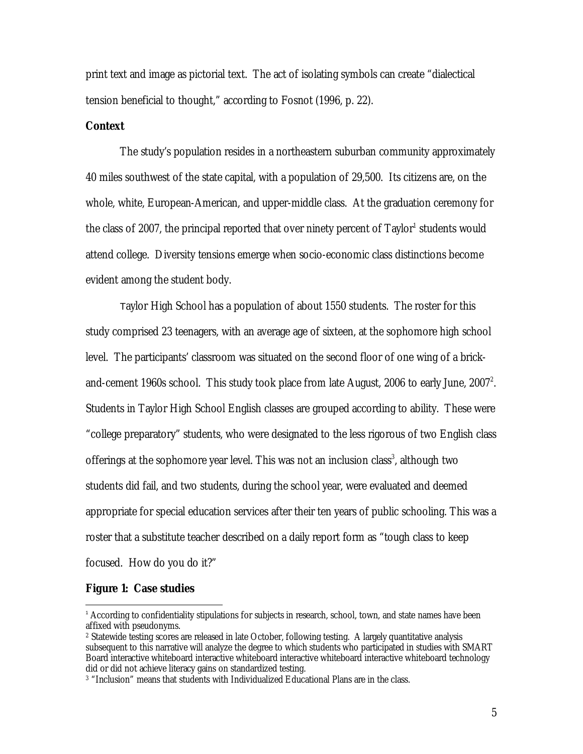print text and image as pictorial text. The act of isolating symbols can create "dialectical tension beneficial to thought," according to Fosnot (1996, p. 22).

### **Context**

The study's population resides in a northeastern suburban community approximately 40 miles southwest of the state capital, with a population of 29,500. Its citizens are, on the whole, white, European-American, and upper-middle class. At the graduation ceremony for the class of 2007, the principal reported that over ninety percent of Taylor<sup>1</sup> students would attend college. Diversity tensions emerge when socio-economic class distinctions become evident among the student body.

Taylor High School has a population of about 1550 students. The roster for this study comprised 23 teenagers, with an average age of sixteen, at the sophomore high school level. The participants' classroom was situated on the second floor of one wing of a brickand-cement 1960s school. This study took place from late August, 2006 to early June,  $2007^2$ . Students in Taylor High School English classes are grouped according to ability. These were "college preparatory" students, who were designated to the less rigorous of two English class offerings at the sophomore year level. This was not an inclusion class<sup>3</sup>, although two students did fail, and two students, during the school year, were evaluated and deemed appropriate for special education services after their ten years of public schooling. This was a roster that a substitute teacher described on a daily report form as "tough class to keep focused. How do you do it?"

#### **Figure 1: Case studies**

-

<sup>1</sup> According to confidentiality stipulations for subjects in research, school, town, and state names have been affixed with pseudonyms.

<sup>2</sup> Statewide testing scores are released in late October, following testing. A largely quantitative analysis subsequent to this narrative will analyze the degree to which students who participated in studies with SMART Board interactive whiteboard interactive whiteboard interactive whiteboard interactive whiteboard technology did or did not achieve literacy gains on standardized testing.

<sup>3</sup> "Inclusion" means that students with Individualized Educational Plans are in the class.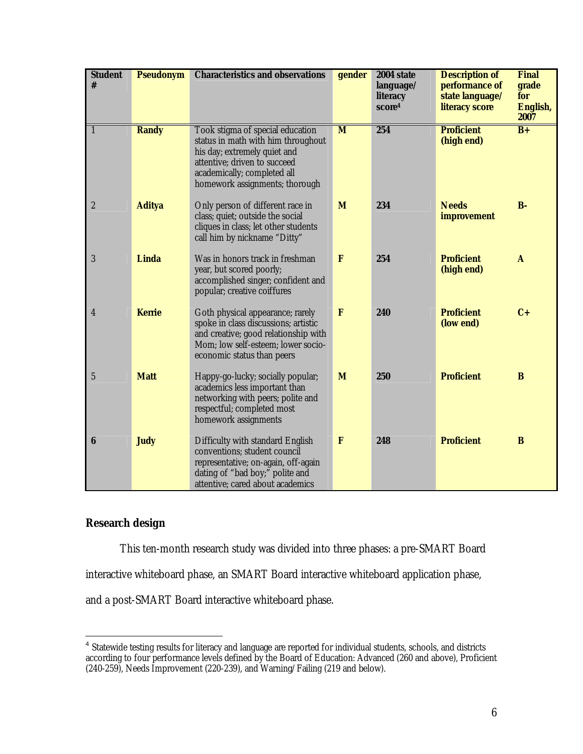| <b>Student</b><br># | <b>Pseudonym</b> | <b>Characteristics and observations</b>                                                                                                                                                                 | gender       | 2004 state<br>language/<br>literacy<br>score4 | <b>Description of</b><br>performance of<br>state language/<br>literacy score | Final<br>grade<br>for<br>English,<br>2007 |
|---------------------|------------------|---------------------------------------------------------------------------------------------------------------------------------------------------------------------------------------------------------|--------------|-----------------------------------------------|------------------------------------------------------------------------------|-------------------------------------------|
| 1                   | <b>Randy</b>     | Took stigma of special education<br>status in math with him throughout<br>his day; extremely quiet and<br>attentive; driven to succeed<br>academically; completed all<br>homework assignments; thorough | M            | 254                                           | <b>Proficient</b><br>(high end)                                              | $B+$                                      |
| $\boldsymbol{2}$    | <b>Aditya</b>    | Only person of different race in<br>class; quiet; outside the social<br>cliques in class; let other students<br>call him by nickname "Ditty"                                                            | M            | 234                                           | <b>Needs</b><br>improvement                                                  | $B -$                                     |
| 3                   | Linda            | Was in honors track in freshman<br>year, but scored poorly;<br>accomplished singer; confident and<br>popular; creative coiffures                                                                        | $\mathbf{F}$ | 254                                           | <b>Proficient</b><br>(high end)                                              | $\mathbf{A}$                              |
| 4                   | <b>Kerrie</b>    | Goth physical appearance; rarely<br>spoke in class discussions; artistic<br>and creative; good relationship with<br>Mom; low self-esteem; lower socio-<br>economic status than peers                    | F            | 240                                           | <b>Proficient</b><br>(low end)                                               | $C+$                                      |
| $\mathbf{5}$        | <b>Matt</b>      | Happy-go-lucky; socially popular;<br>academics less important than<br>networking with peers; polite and<br>respectful; completed most<br>homework assignments                                           | M            | 250                                           | <b>Proficient</b>                                                            | B                                         |
| 6                   | <b>Judy</b>      | <b>Difficulty with standard English</b><br>conventions; student council<br>representative; on-again, off-again<br>dating of "bad boy;" polite and<br>attentive; cared about academics                   | $\mathbf{F}$ | 248                                           | <b>Proficient</b>                                                            | B                                         |

## **Research design**

This ten-month research study was divided into three phases: a pre-SMART Board

interactive whiteboard phase, an SMART Board interactive whiteboard application phase,

and a post-SMART Board interactive whiteboard phase.

 4 Statewide testing results for literacy and language are reported for individual students, schools, and districts according to four performance levels defined by the Board of Education: Advanced (260 and above), Proficient (240-259), Needs Improvement (220-239), and Warning/Failing (219 and below).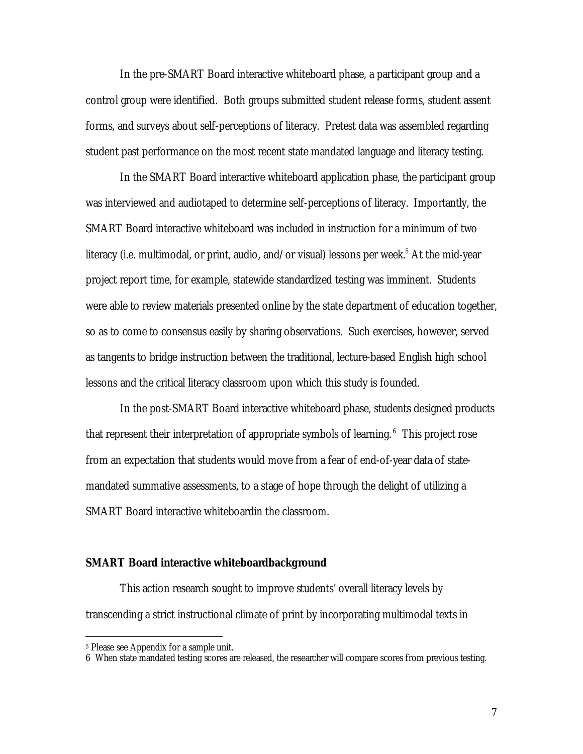In the pre-SMART Board interactive whiteboard phase, a participant group and a control group were identified. Both groups submitted student release forms, student assent forms, and surveys about self-perceptions of literacy. Pretest data was assembled regarding student past performance on the most recent state mandated language and literacy testing.

In the SMART Board interactive whiteboard application phase, the participant group was interviewed and audiotaped to determine self-perceptions of literacy. Importantly, the SMART Board interactive whiteboard was included in instruction for a minimum of two literacy (i.e. multimodal, or print, audio, and/or visual) lessons per week.<sup>5</sup> At the mid-year project report time, for example, statewide standardized testing was imminent. Students were able to review materials presented online by the state department of education together, so as to come to consensus easily by sharing observations. Such exercises, however, served as tangents to bridge instruction between the traditional, lecture-based English high school lessons and the critical literacy classroom upon which this study is founded.

In the post-SMART Board interactive whiteboard phase, students designed products that represent their interpretation of appropriate symbols of learning.<sup>6</sup> This project rose from an expectation that students would move from a fear of end-of-year data of statemandated summative assessments, to a stage of hope through the delight of utilizing a SMART Board interactive whiteboardin the classroom.

### **SMART Board interactive whiteboardbackground**

This action research sought to improve students' overall literacy levels by transcending a strict instructional climate of print by incorporating multimodal texts in

 $\overline{a}$ 

<sup>5</sup> Please see Appendix for a sample unit.

<sup>6</sup> When state mandated testing scores are released, the researcher will compare scores from previous testing.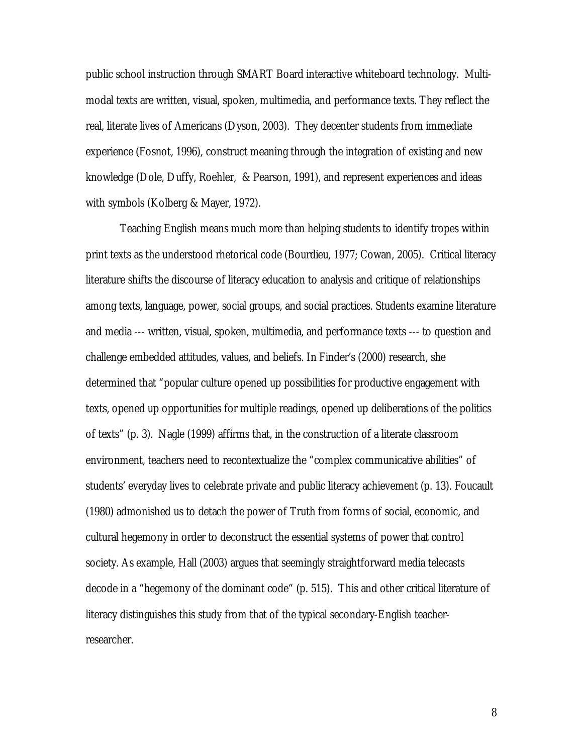public school instruction through SMART Board interactive whiteboard technology. Multimodal texts are written, visual, spoken, multimedia, and performance texts. They reflect the real, literate lives of Americans (Dyson, 2003). They decenter students from immediate experience (Fosnot, 1996), construct meaning through the integration of existing and new knowledge (Dole, Duffy, Roehler, & Pearson, 1991), and represent experiences and ideas with symbols (Kolberg & Mayer, 1972).

Teaching English means much more than helping students to identify tropes within print texts as the understood rhetorical code (Bourdieu, 1977; Cowan, 2005). Critical literacy literature shifts the discourse of literacy education to analysis and critique of relationships among texts, language, power, social groups, and social practices. Students examine literature and media --- written, visual, spoken, multimedia, and performance texts --- to question and challenge embedded attitudes, values, and beliefs. In Finder's (2000) research, she determined that "popular culture opened up possibilities for productive engagement with texts, opened up opportunities for multiple readings, opened up deliberations of the politics of texts" (p. 3). Nagle (1999) affirms that, in the construction of a literate classroom environment, teachers need to recontextualize the "complex communicative abilities" of students' everyday lives to celebrate private and public literacy achievement (p. 13). Foucault (1980) admonished us to detach the power of Truth from forms of social, economic, and cultural hegemony in order to deconstruct the essential systems of power that control society. As example, Hall (2003) argues that seemingly straightforward media telecasts decode in a "hegemony of the dominant code" (p. 515). This and other critical literature of literacy distinguishes this study from that of the typical secondary-English teacherresearcher.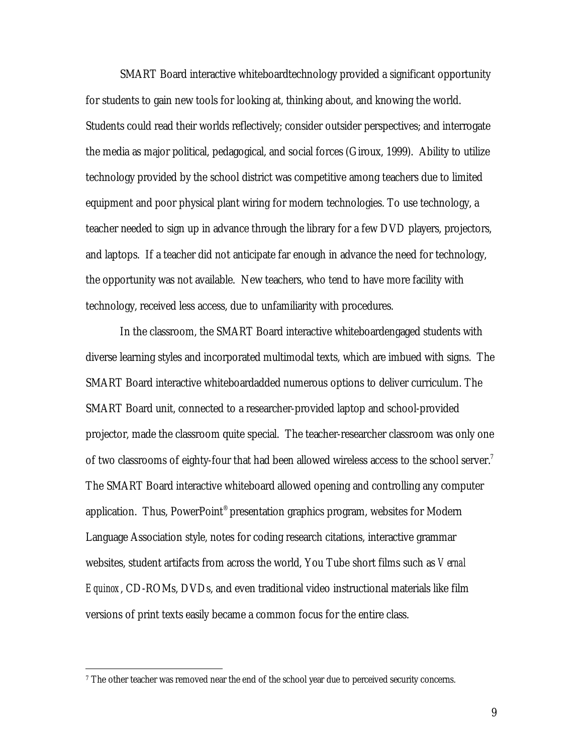SMART Board interactive whiteboardtechnology provided a significant opportunity for students to gain new tools for looking at, thinking about, and knowing the world. Students could read their worlds reflectively; consider outsider perspectives; and interrogate the media as major political, pedagogical, and social forces (Giroux, 1999). Ability to utilize technology provided by the school district was competitive among teachers due to limited equipment and poor physical plant wiring for modern technologies. To use technology, a teacher needed to sign up in advance through the library for a few DVD players, projectors, and laptops. If a teacher did not anticipate far enough in advance the need for technology, the opportunity was not available. New teachers, who tend to have more facility with technology, received less access, due to unfamiliarity with procedures.

In the classroom, the SMART Board interactive whiteboardengaged students with diverse learning styles and incorporated multimodal texts, which are imbued with signs. The SMART Board interactive whiteboardadded numerous options to deliver curriculum. The SMART Board unit, connected to a researcher-provided laptop and school-provided projector, made the classroom quite special. The teacher-researcher classroom was only one of two classrooms of eighty-four that had been allowed wireless access to the school server.<sup>7</sup> The SMART Board interactive whiteboard allowed opening and controlling any computer application. Thus, PowerPoint® presentation graphics program, websites for Modern Language Association style, notes for coding research citations, interactive grammar websites, student artifacts from across the world, You Tube short films such as *Vernal Equinox*, CD-ROMs, DVDs, and even traditional video instructional materials like film versions of print texts easily became a common focus for the entire class.

 $\overline{a}$ 

<sup>7</sup> The other teacher was removed near the end of the school year due to perceived security concerns.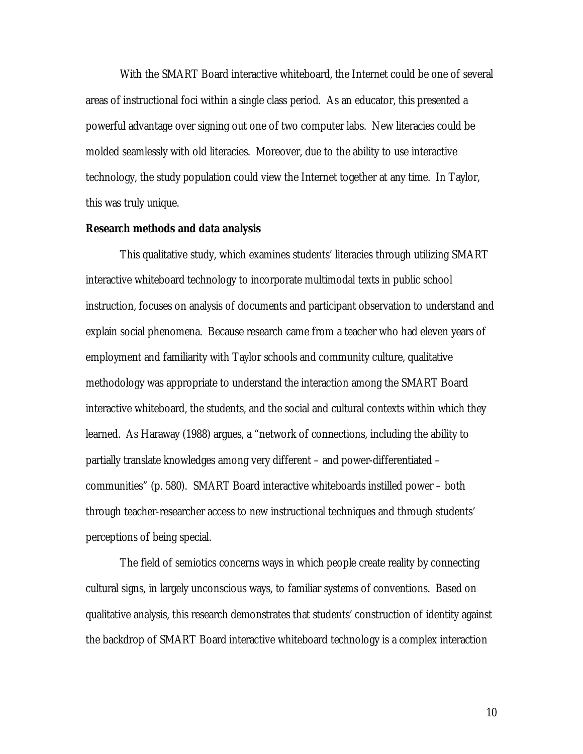With the SMART Board interactive whiteboard, the Internet could be one of several areas of instructional foci within a single class period. As an educator, this presented a powerful advantage over signing out one of two computer labs. New literacies could be molded seamlessly with old literacies. Moreover, due to the ability to use interactive technology, the study population could view the Internet together at any time. In Taylor, this was truly unique.

#### **Research methods and data analysis**

This qualitative study, which examines students' literacies through utilizing SMART interactive whiteboard technology to incorporate multimodal texts in public school instruction, focuses on analysis of documents and participant observation to understand and explain social phenomena. Because research came from a teacher who had eleven years of employment and familiarity with Taylor schools and community culture, qualitative methodology was appropriate to understand the interaction among the SMART Board interactive whiteboard, the students, and the social and cultural contexts within which they learned. As Haraway (1988) argues, a "network of connections, including the ability to partially translate knowledges among very different – and power-differentiated – communities" (p. 580). SMART Board interactive whiteboards instilled power – both through teacher-researcher access to new instructional techniques and through students' perceptions of being special.

The field of semiotics concerns ways in which people create reality by connecting cultural signs, in largely unconscious ways, to familiar systems of conventions. Based on qualitative analysis, this research demonstrates that students' construction of identity against the backdrop of SMART Board interactive whiteboard technology is a complex interaction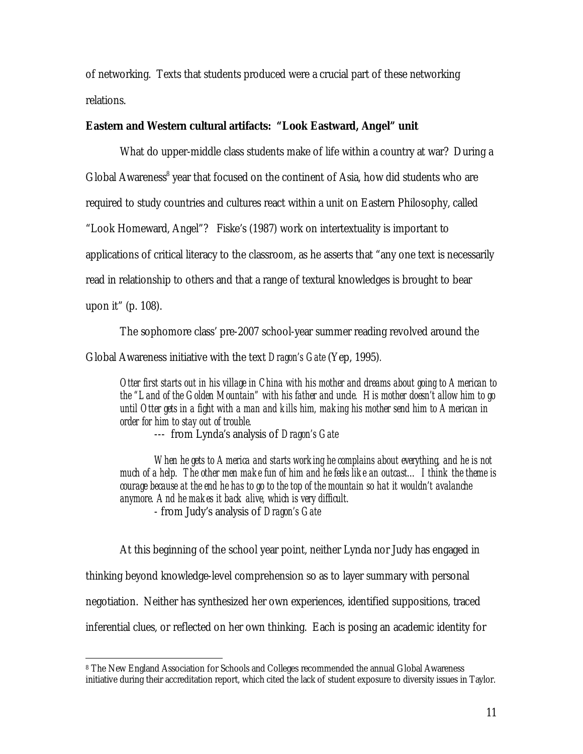of networking. Texts that students produced were a crucial part of these networking relations.

# **Eastern and Western cultural artifacts: "Look Eastward, Angel" unit**

What do upper-middle class students make of life within a country at war? During a Global Awareness<sup>8</sup> year that focused on the continent of Asia, how did students who are required to study countries and cultures react within a unit on Eastern Philosophy, called "Look Homeward, Angel"? Fiske's (1987) work on intertextuality is important to applications of critical literacy to the classroom, as he asserts that "any one text is necessarily read in relationship to others and that a range of textural knowledges is brought to bear upon it" (p. 108).

The sophomore class' pre-2007 school-year summer reading revolved around the Global Awareness initiative with the text *Dragon's Gate* (Yep, 1995)*.* 

*Otter first starts out in his village in China with his mother and dreams about going to American to the "Land of the Golden Mountain" with his father and uncle. His mother doesn't allow him to go*  until Otter gets in a fight with a man and kills him, making his mother send him to American in *order for him to stay out of trouble.* 

--- from Lynda's analysis of *Dragon's Gate* 

*When he gets to America and starts working he complains about everything, and he is not*  much of a help. The other men make fun of him and he feels like an outcast... I think the theme is *courage because at the end he has to go to the top of the mountain so hat it wouldn't avalanche anymore. And he makes it back alive, which is very difficult.* 

- from Judy's analysis of *Dragon's Gate* 

-

At this beginning of the school year point, neither Lynda nor Judy has engaged in thinking beyond knowledge-level comprehension so as to layer summary with personal negotiation. Neither has synthesized her own experiences, identified suppositions, traced inferential clues, or reflected on her own thinking. Each is posing an academic identity for

<sup>8</sup> The New England Association for Schools and Colleges recommended the annual Global Awareness initiative during their accreditation report, which cited the lack of student exposure to diversity issues in Taylor.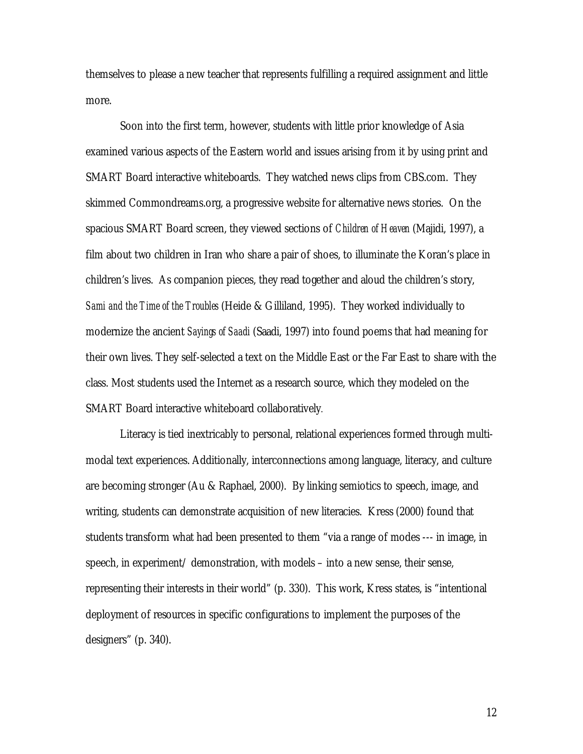themselves to please a new teacher that represents fulfilling a required assignment and little more.

Soon into the first term, however, students with little prior knowledge of Asia examined various aspects of the Eastern world and issues arising from it by using print and SMART Board interactive whiteboards. They watched news clips from CBS.com. They skimmed Commondreams.org, a progressive website for alternative news stories. On the spacious SMART Board screen, they viewed sections of *Children of Heaven* (Majidi, 1997), a film about two children in Iran who share a pair of shoes, to illuminate the Koran's place in children's lives. As companion pieces, they read together and aloud the children's story, *Sami and the Time of the Troubles* (Heide & Gilliland, 1995). They worked individually to modernize the ancient *Sayings of Saadi* (Saadi, 1997) into found poems that had meaning for their own lives. They self-selected a text on the Middle East or the Far East to share with the class. Most students used the Internet as a research source, which they modeled on the SMART Board interactive whiteboard collaboratively.

Literacy is tied inextricably to personal, relational experiences formed through multimodal text experiences. Additionally, interconnections among language, literacy, and culture are becoming stronger (Au & Raphael, 2000). By linking semiotics to speech, image, and writing, students can demonstrate acquisition of new literacies. Kress (2000) found that students transform what had been presented to them "via a range of modes --- in image, in speech, in experiment/ demonstration, with models – into a new sense, their sense, representing their interests in their world" (p. 330). This work, Kress states, is "intentional deployment of resources in specific configurations to implement the purposes of the designers" (p. 340).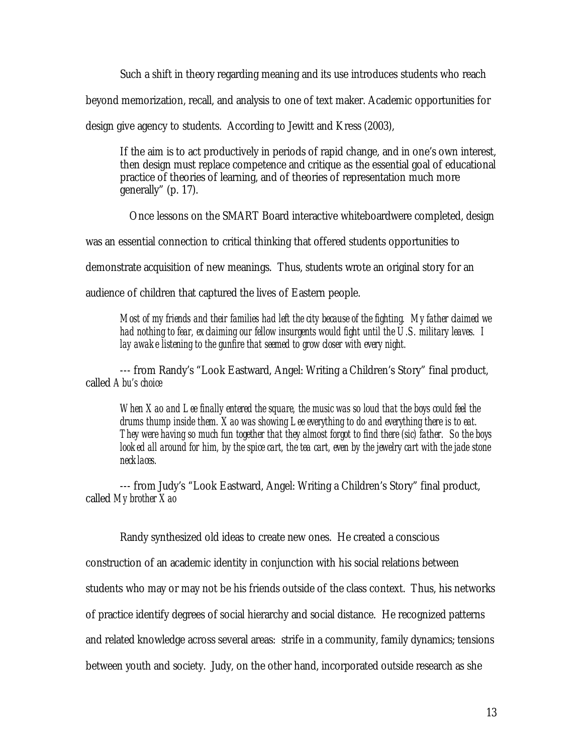Such a shift in theory regarding meaning and its use introduces students who reach beyond memorization, recall, and analysis to one of text maker. Academic opportunities for design give agency to students. According to Jewitt and Kress (2003),

If the aim is to act productively in periods of rapid change, and in one's own interest, then design must replace competence and critique as the essential goal of educational practice of theories of learning, and of theories of representation much more generally" (p. 17).

Once lessons on the SMART Board interactive whiteboardwere completed, design

was an essential connection to critical thinking that offered students opportunities to

demonstrate acquisition of new meanings. Thus, students wrote an original story for an

audience of children that captured the lives of Eastern people.

*Most of my friends and their families had left the city because of the fighting. My father claimed we had nothing to fear, exclaiming our fellow insurgents would fight until the U.S. military leaves. I lay awake listening to the gunfire that seemed to grow closer with every night.* 

--- from Randy's "Look Eastward, Angel: Writing a Children's Story" final product, called *Abu's choice* 

*When Xao and Lee finally entered the square, the music was so loud that the boys could feel the drums thump inside them. Xao was showing Lee everything to do and everything there is to eat. They were having so much fun together that they almost forgot to find there (sic) father. So the boys looked all around for him, by the spice cart, the tea cart, even by the jewelry cart with the jade stone necklaces.* 

--- from Judy's "Look Eastward, Angel: Writing a Children's Story" final product, called *My brother Xao* 

Randy synthesized old ideas to create new ones. He created a conscious

construction of an academic identity in conjunction with his social relations between

students who may or may not be his friends outside of the class context. Thus, his networks

of practice identify degrees of social hierarchy and social distance. He recognized patterns

and related knowledge across several areas: strife in a community, family dynamics; tensions

between youth and society. Judy, on the other hand, incorporated outside research as she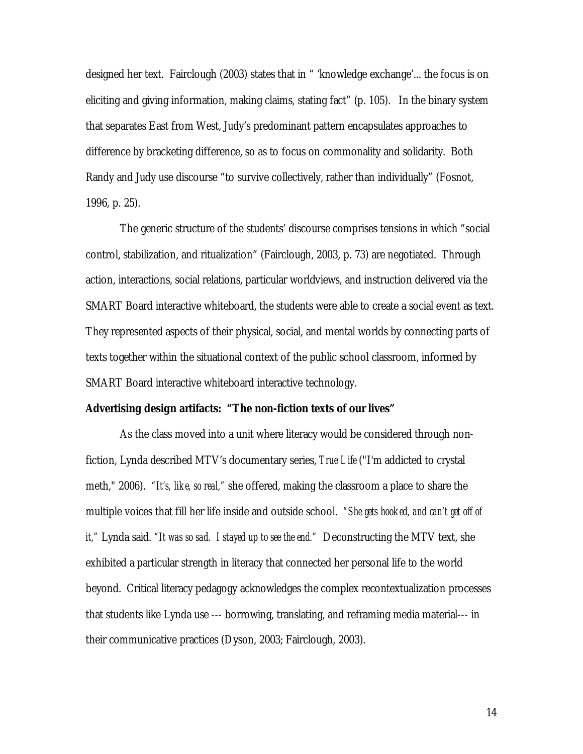designed her text. Fairclough (2003) states that in " 'knowledge exchange'... the focus is on eliciting and giving information, making claims, stating fact" (p. 105). In the binary system that separates East from West, Judy's predominant pattern encapsulates approaches to difference by bracketing difference, so as to focus on commonality and solidarity. Both Randy and Judy use discourse "to survive collectively, rather than individually" (Fosnot, 1996, p. 25).

The generic structure of the students' discourse comprises tensions in which "social control, stabilization, and ritualization" (Fairclough, 2003, p. 73) are negotiated. Through action, interactions, social relations, particular worldviews, and instruction delivered via the SMART Board interactive whiteboard, the students were able to create a social event as text. They represented aspects of their physical, social, and mental worlds by connecting parts of texts together within the situational context of the public school classroom, informed by SMART Board interactive whiteboard interactive technology.

### **Advertising design artifacts: "The non-fiction texts of our lives"**

As the class moved into a unit where literacy would be considered through nonfiction, Lynda described MTV's documentary series, *True Life* ("I'm addicted to crystal meth," 2006). *"It's, like, so real,"* she offered, making the classroom a place to share the multiple voices that fill her life inside and outside school. *"She gets hooked, and can't get off of it,"* Lynda said. *"It was so sad. I stayed up to see the end."* Deconstructing the MTV text, she exhibited a particular strength in literacy that connected her personal life to the world beyond. Critical literacy pedagogy acknowledges the complex recontextualization processes that students like Lynda use --- borrowing, translating, and reframing media material--- in their communicative practices (Dyson, 2003; Fairclough, 2003).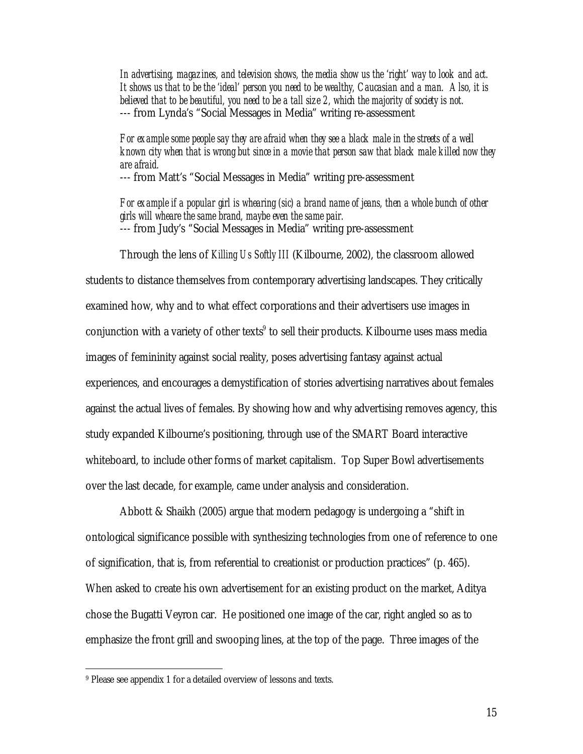*In advertising, magazines, and television shows, the media show us the 'right' way to look and act. It shows us that to be the 'ideal' person you need to be wealthy, Caucasian and a man. Also, it is*  believed that to be beautiful, you need to be a tall size 2, which the majority of society is not. --- from Lynda's "Social Messages in Media" writing re-assessment

### *For example some people say they are afraid when they see a black male in the streets of a well known city when that is wrong but since in a movie that person saw that black male killed now they are afraid.*

--- from Matt's "Social Messages in Media" writing pre-assessment

*For example if a popular girl is whearing (sic) a brand name of jeans, then a whole bunch of other girls will wheare the same brand, maybe even the same pair.*  --- from Judy's "Social Messages in Media" writing pre-assessment

Through the lens of *Killing Us Softly III* (Kilbourne, 2002), the classroom allowed students to distance themselves from contemporary advertising landscapes. They critically examined how, why and to what effect corporations and their advertisers use images in conjunction with a variety of other texts $^9$  to sell their products. Kilbourne uses mass media images of femininity against social reality, poses advertising fantasy against actual experiences, and encourages a demystification of stories advertising narratives about females against the actual lives of females. By showing how and why advertising removes agency, this study expanded Kilbourne's positioning, through use of the SMART Board interactive whiteboard, to include other forms of market capitalism. Top Super Bowl advertisements over the last decade, for example, came under analysis and consideration.

Abbott & Shaikh (2005) argue that modern pedagogy is undergoing a "shift in ontological significance possible with synthesizing technologies from one of reference to one of signification, that is, from referential to creationist or production practices" (p. 465). When asked to create his own advertisement for an existing product on the market, Aditya chose the Bugatti Veyron car. He positioned one image of the car, right angled so as to emphasize the front grill and swooping lines, at the top of the page. Three images of the

-

<sup>9</sup> Please see appendix 1 for a detailed overview of lessons and texts.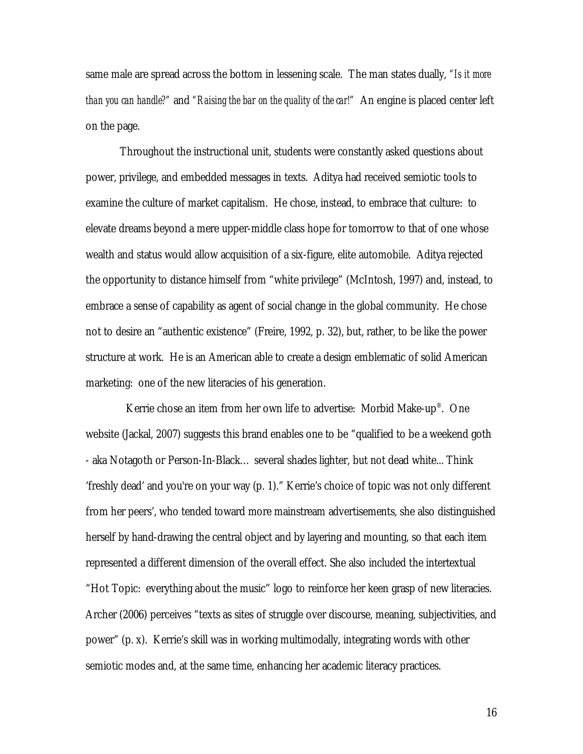same male are spread across the bottom in lessening scale. The man states dually, *"Is it more than you can handle?"* and *"Raising the bar on the quality of the car!"* An engine is placed center left on the page.

Throughout the instructional unit, students were constantly asked questions about power, privilege, and embedded messages in texts. Aditya had received semiotic tools to examine the culture of market capitalism. He chose, instead, to embrace that culture: to elevate dreams beyond a mere upper-middle class hope for tomorrow to that of one whose wealth and status would allow acquisition of a six-figure, elite automobile. Aditya rejected the opportunity to distance himself from "white privilege" (McIntosh, 1997) and, instead, to embrace a sense of capability as agent of social change in the global community. He chose not to desire an "authentic existence" (Freire, 1992, p. 32), but, rather, to be like the power structure at work. He is an American able to create a design emblematic of solid American marketing: one of the new literacies of his generation.

 Kerrie chose an item from her own life to advertise: Morbid Make-up® . One website (Jackal, 2007) suggests this brand enables one to be "qualified to be a weekend goth - aka Notagoth or Person-In-Black… several shades lighter, but not dead white... Think 'freshly dead' and you're on your way (p. 1)." Kerrie's choice of topic was not only different from her peers', who tended toward more mainstream advertisements, she also distinguished herself by hand-drawing the central object and by layering and mounting, so that each item represented a different dimension of the overall effect. She also included the intertextual "Hot Topic: everything about the music" logo to reinforce her keen grasp of new literacies. Archer (2006) perceives "texts as sites of struggle over discourse, meaning, subjectivities, and power" (p. x). Kerrie's skill was in working multimodally, integrating words with other semiotic modes and, at the same time, enhancing her academic literacy practices.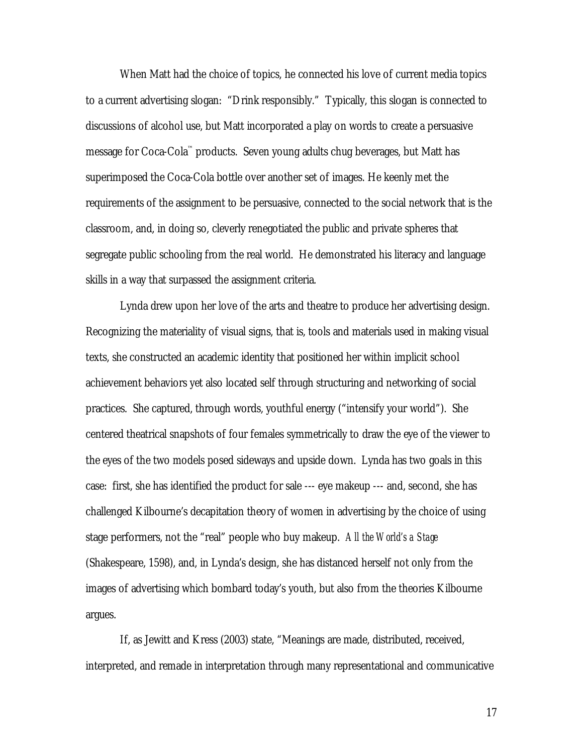When Matt had the choice of topics, he connected his love of current media topics to a current advertising slogan: "Drink responsibly." Typically, this slogan is connected to discussions of alcohol use, but Matt incorporated a play on words to create a persuasive message for Coca-Cola™ products. Seven young adults chug beverages, but Matt has superimposed the Coca-Cola bottle over another set of images. He keenly met the requirements of the assignment to be persuasive, connected to the social network that is the classroom, and, in doing so, cleverly renegotiated the public and private spheres that segregate public schooling from the real world. He demonstrated his literacy and language skills in a way that surpassed the assignment criteria.

Lynda drew upon her love of the arts and theatre to produce her advertising design. Recognizing the materiality of visual signs, that is, tools and materials used in making visual texts, she constructed an academic identity that positioned her within implicit school achievement behaviors yet also located self through structuring and networking of social practices. She captured, through words, youthful energy ("intensify your world"). She centered theatrical snapshots of four females symmetrically to draw the eye of the viewer to the eyes of the two models posed sideways and upside down. Lynda has two goals in this case: first, she has identified the product for sale --- eye makeup --- and, second, she has challenged Kilbourne's decapitation theory of women in advertising by the choice of using stage performers, not the "real" people who buy makeup. *All the World's a Stage*  (Shakespeare, 1598), and, in Lynda's design, she has distanced herself not only from the images of advertising which bombard today's youth, but also from the theories Kilbourne argues.

If, as Jewitt and Kress (2003) state, "Meanings are made, distributed, received, interpreted, and remade in interpretation through many representational and communicative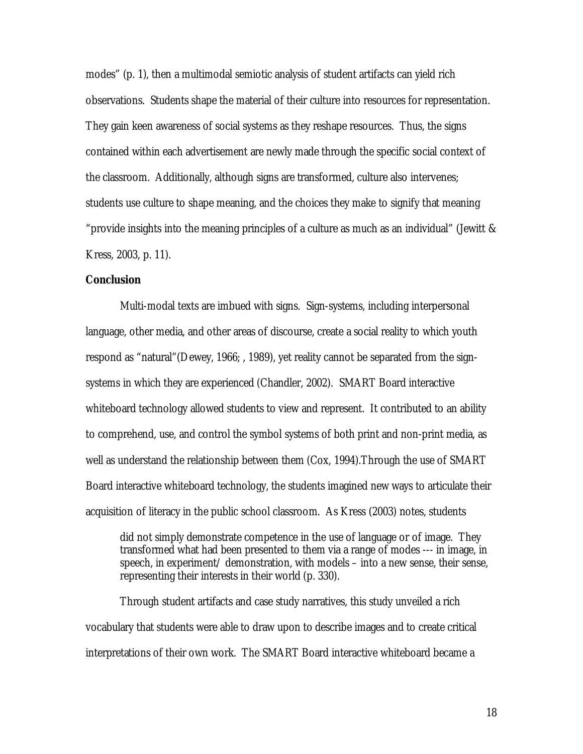modes" (p. 1), then a multimodal semiotic analysis of student artifacts can yield rich observations. Students shape the material of their culture into resources for representation. They gain keen awareness of social systems as they reshape resources. Thus, the signs contained within each advertisement are newly made through the specific social context of the classroom. Additionally, although signs are transformed, culture also intervenes; students use culture to shape meaning, and the choices they make to signify that meaning "provide insights into the meaning principles of a culture as much as an individual" (Jewitt  $\&$ Kress, 2003, p. 11).

### **Conclusion**

Multi-modal texts are imbued with signs. Sign-systems, including interpersonal language, other media, and other areas of discourse, create a social reality to which youth respond as "natural"(Dewey, 1966; , 1989), yet reality cannot be separated from the signsystems in which they are experienced (Chandler, 2002). SMART Board interactive whiteboard technology allowed students to view and represent. It contributed to an ability to comprehend, use, and control the symbol systems of both print and non-print media, as well as understand the relationship between them (Cox, 1994).Through the use of SMART Board interactive whiteboard technology, the students imagined new ways to articulate their acquisition of literacy in the public school classroom. As Kress (2003) notes, students

did not simply demonstrate competence in the use of language or of image. They transformed what had been presented to them via a range of modes --- in image, in speech, in experiment/ demonstration, with models – into a new sense, their sense, representing their interests in their world (p. 330).

Through student artifacts and case study narratives, this study unveiled a rich vocabulary that students were able to draw upon to describe images and to create critical interpretations of their own work. The SMART Board interactive whiteboard became a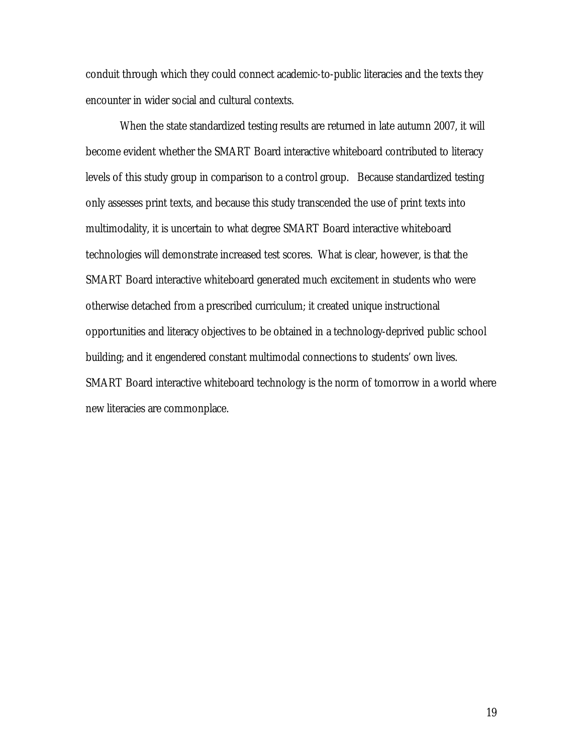conduit through which they could connect academic-to-public literacies and the texts they encounter in wider social and cultural contexts.

When the state standardized testing results are returned in late autumn 2007, it will become evident whether the SMART Board interactive whiteboard contributed to literacy levels of this study group in comparison to a control group. Because standardized testing only assesses print texts, and because this study transcended the use of print texts into multimodality, it is uncertain to what degree SMART Board interactive whiteboard technologies will demonstrate increased test scores. What is clear, however, is that the SMART Board interactive whiteboard generated much excitement in students who were otherwise detached from a prescribed curriculum; it created unique instructional opportunities and literacy objectives to be obtained in a technology-deprived public school building; and it engendered constant multimodal connections to students' own lives. SMART Board interactive whiteboard technology is the norm of tomorrow in a world where new literacies are commonplace.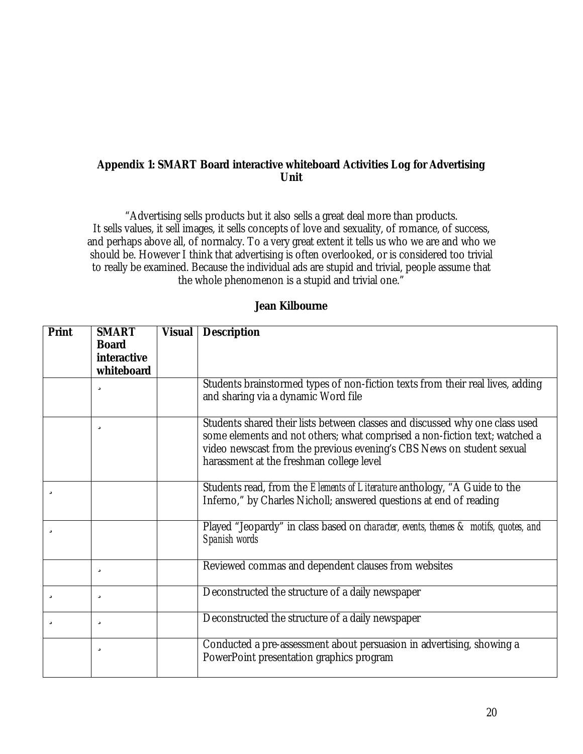## **Appendix 1: SMART Board interactive whiteboard Activities Log for Advertising Unit**

"Advertising sells products but it also sells a great deal more than products. It sells values, it sell images, it sells concepts of love and sexuality, of romance, of success, and perhaps above all, of normalcy. To a very great extent it tells us who we are and who we should be. However I think that advertising is often overlooked, or is considered too trivial to really be examined. Because the individual ads are stupid and trivial, people assume that the whole phenomenon is a stupid and trivial one."

## **Jean Kilbourne**

| Print | <b>SMART</b><br><b>Board</b><br>interactive<br>whiteboard | <b>Visual</b> | <b>Description</b>                                                                                                                                                                                                                                                              |
|-------|-----------------------------------------------------------|---------------|---------------------------------------------------------------------------------------------------------------------------------------------------------------------------------------------------------------------------------------------------------------------------------|
|       | ü                                                         |               | Students brainstormed types of non-fiction texts from their real lives, adding<br>and sharing via a dynamic Word file                                                                                                                                                           |
|       | ü                                                         |               | Students shared their lists between classes and discussed why one class used<br>some elements and not others; what comprised a non-fiction text; watched a<br>video newscast from the previous evening's CBS News on student sexual<br>harassment at the freshman college level |
| ü     |                                                           |               | Students read, from the <i>Elements of Literature</i> anthology, "A Guide to the<br>Inferno," by Charles Nicholl; answered questions at end of reading                                                                                                                          |
| ü     |                                                           |               | Played "Jeopardy" in class based on <i>character</i> ; events, themes & motifs, quotes, and<br>Spanish words                                                                                                                                                                    |
|       | ü                                                         |               | Reviewed commas and dependent clauses from websites                                                                                                                                                                                                                             |
| ü     | ü                                                         |               | Deconstructed the structure of a daily newspaper                                                                                                                                                                                                                                |
| ü     | ü                                                         |               | Deconstructed the structure of a daily newspaper                                                                                                                                                                                                                                |
|       | ü                                                         |               | Conducted a pre-assessment about persuasion in advertising, showing a<br>PowerPoint presentation graphics program                                                                                                                                                               |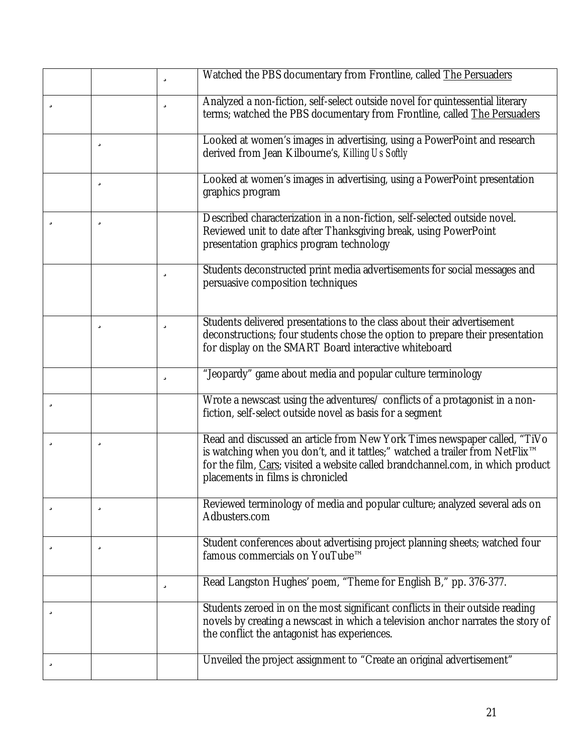|   |   | ü | Watched the PBS documentary from Frontline, called The Persuaders                                                                                                                                                                                                                             |
|---|---|---|-----------------------------------------------------------------------------------------------------------------------------------------------------------------------------------------------------------------------------------------------------------------------------------------------|
| ü |   | ü | Analyzed a non-fiction, self-select outside novel for quintessential literary<br>terms; watched the PBS documentary from Frontline, called The Persuaders                                                                                                                                     |
|   | ü |   | Looked at women's images in advertising, using a PowerPoint and research<br>derived from Jean Kilbourne's, Killing Us Softly                                                                                                                                                                  |
|   | ü |   | Looked at women's images in advertising, using a PowerPoint presentation<br>graphics program                                                                                                                                                                                                  |
| ü | ü |   | Described characterization in a non-fiction, self-selected outside novel.<br>Reviewed unit to date after Thanksgiving break, using PowerPoint<br>presentation graphics program technology                                                                                                     |
|   |   | ü | Students deconstructed print media advertisements for social messages and<br>persuasive composition techniques                                                                                                                                                                                |
|   | ü | ü | Students delivered presentations to the class about their advertisement<br>deconstructions; four students chose the option to prepare their presentation<br>for display on the SMART Board interactive whiteboard                                                                             |
|   |   | ü | "Jeopardy" game about media and popular culture terminology                                                                                                                                                                                                                                   |
| ü |   |   | Wrote a newscast using the adventures/ conflicts of a protagonist in a non-<br>fiction, self-select outside novel as basis for a segment                                                                                                                                                      |
| ü | ü |   | Read and discussed an article from New York Times newspaper called, "TiVo<br>is watching when you don't, and it tattles;" watched a trailer from NetFlix <sup>™</sup><br>for the film, Cars; visited a website called brandchannel.com, in which product<br>placements in films is chronicled |
| ü | ü |   | Reviewed terminology of media and popular culture; analyzed several ads on<br>Adbusters.com                                                                                                                                                                                                   |
| ü | ü |   | Student conferences about advertising project planning sheets; watched four<br>famous commercials on YouTube™                                                                                                                                                                                 |
|   |   | ü | Read Langston Hughes' poem, "Theme for English B," pp. 376-377.                                                                                                                                                                                                                               |
| ü |   |   | Students zeroed in on the most significant conflicts in their outside reading<br>novels by creating a newscast in which a television anchor narrates the story of<br>the conflict the antagonist has experiences.                                                                             |
| ü |   |   | Unveiled the project assignment to "Create an original advertisement"                                                                                                                                                                                                                         |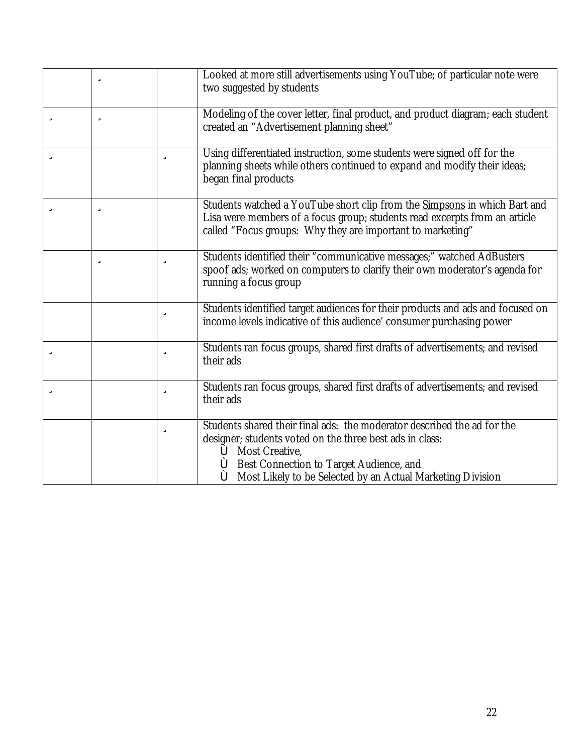|   | ü |   | Looked at more still advertisements using YouTube; of particular note were<br>two suggested by students                                                                                                                                                                                                                                        |
|---|---|---|------------------------------------------------------------------------------------------------------------------------------------------------------------------------------------------------------------------------------------------------------------------------------------------------------------------------------------------------|
| ü | ü |   | Modeling of the cover letter, final product, and product diagram; each student<br>created an "Advertisement planning sheet"                                                                                                                                                                                                                    |
| ü |   | ü | Using differentiated instruction, some students were signed off for the<br>planning sheets while others continued to expand and modify their ideas;<br>began final products                                                                                                                                                                    |
| ü | ü |   | Students watched a YouTube short clip from the Simpsons in which Bart and<br>Lisa were members of a focus group; students read excerpts from an article<br>called "Focus groups: Why they are important to marketing"                                                                                                                          |
|   | ü | ü | Students identified their "communicative messages;" watched AdBusters<br>spoof ads; worked on computers to clarify their own moderator's agenda for<br>running a focus group                                                                                                                                                                   |
|   |   | ü | Students identified target audiences for their products and ads and focused on<br>income levels indicative of this audience' consumer purchasing power                                                                                                                                                                                         |
| ü |   | ü | Students ran focus groups, shared first drafts of advertisements; and revised<br>their ads                                                                                                                                                                                                                                                     |
| ü |   | ü | Students ran focus groups, shared first drafts of advertisements; and revised<br>their ads                                                                                                                                                                                                                                                     |
|   |   | ü | Students shared their final ads: the moderator described the ad for the<br>designer; students voted on the three best ads in class:<br><b>ô</b> Most Creative,<br><b><math>\hat{\mathbf{o}}</math></b> Best Connection to Target Audience, and<br><b><math>\hat{\bullet}</math></b> Most Likely to be Selected by an Actual Marketing Division |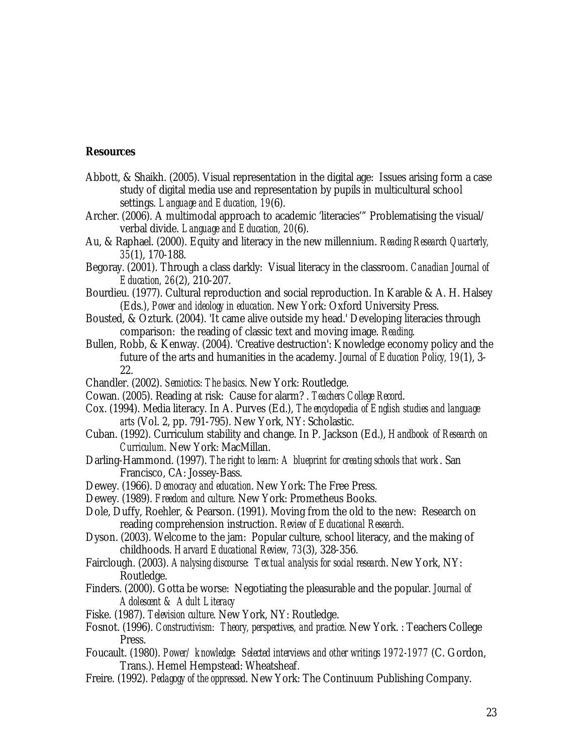### **Resources**

- Abbott, & Shaikh. (2005). Visual representation in the digital age: Issues arising form a case study of digital media use and representation by pupils in multicultural school settings. *Language and Education, 19*(6).
- Archer. (2006). A multimodal approach to academic 'literacies'" Problematising the visual/ verbal divide. *Language and Education, 20*(6).
- Au, & Raphael. (2000). Equity and literacy in the new millennium. *Reading Research Quarterly, 35*(1), 170-188.
- Begoray. (2001). Through a class darkly: Visual literacy in the classroom. *Canadian Journal of Education, 26*(2), 210-207.
- Bourdieu. (1977). Cultural reproduction and social reproduction. In Karable & A. H. Halsey (Eds.), *Power and ideology in education*. New York: Oxford University Press.
- Bousted, & Ozturk. (2004). 'It came alive outside my head.' Developing literacies through comparison: the reading of classic text and moving image. *Reading*.
- Bullen, Robb, & Kenway. (2004). 'Creative destruction': Knowledge economy policy and the future of the arts and humanities in the academy. *Journal of Education Policy, 19*(1), 3- 22.
- Chandler. (2002). *Semiotics: The basics*. New York: Routledge.
- Cowan. (2005). Reading at risk: Cause for alarm? . *Teachers College Record*.
- Cox. (1994). Media literacy. In A. Purves (Ed.), *The encyclopedia of English studies and language arts* (Vol. 2, pp. 791-795). New York, NY: Scholastic.
- Cuban. (1992). Curriculum stability and change. In P. Jackson (Ed.), *Handbook of Research on Curriculum*. New York: MacMillan.
- Darling-Hammond. (1997). *The right to learn: A blueprint for creating schools that work*. San Francisco, CA: Jossey-Bass.
- Dewey. (1966). *Democracy and education*. New York: The Free Press.
- Dewey. (1989). *Freedom and culture*. New York: Prometheus Books.
- Dole, Duffy, Roehler, & Pearson. (1991). Moving from the old to the new: Research on reading comprehension instruction. *Review of Educational Research*.
- Dyson. (2003). Welcome to the jam: Popular culture, school literacy, and the making of childhoods. *Harvard Educational Review, 73*(3), 328-356.
- Fairclough. (2003). *Analysing discourse: Textual analysis for social research*. New York, NY: Routledge.
- Finders. (2000). Gotta be worse: Negotiating the pleasurable and the popular. *Journal of Adolescent & Adult Literacy*
- Fiske. (1987). *Television culture*. New York, NY: Routledge.
- Fosnot. (1996). *Constructivism: Theory, perspectives, and practice*. New York. : Teachers College Press.
- Foucault. (1980). *Power/ knowledge: Selected interviews and other writings 1972-1977* (C. Gordon, Trans.). Hemel Hempstead: Wheatsheaf.
- Freire. (1992). *Pedagogy of the oppressed*. New York: The Continuum Publishing Company.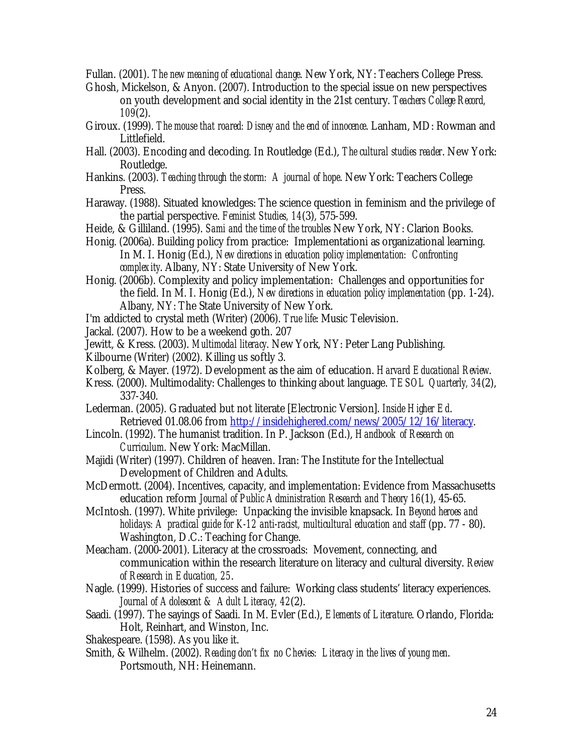Fullan. (2001). *The new meaning of educational change*. New York, NY: Teachers College Press.

- Ghosh, Mickelson, & Anyon. (2007). Introduction to the special issue on new perspectives on youth development and social identity in the 21st century. *Teachers College Record, 109*(2).
- Giroux. (1999). *The mouse that roared: Disney and the end of innocence*. Lanham, MD: Rowman and Littlefield.
- Hall. (2003). Encoding and decoding. In Routledge (Ed.), *The cultural studies reader*. New York: Routledge.
- Hankins. (2003). *Teaching through the storm: A journal of hope*. New York: Teachers College Press.
- Haraway. (1988). Situated knowledges: The science question in feminism and the privilege of the partial perspective. *Feminist Studies, 14*(3), 575-599.
- Heide, & Gilliland. (1995). *Sami and the time of the troubles* New York, NY: Clarion Books.
- Honig. (2006a). Building policy from practice: Implementationi as organizational learning. In M. I. Honig (Ed.), *New directions in education policy implementation: Confronting complexity*. Albany, NY: State University of New York.
- Honig. (2006b). Complexity and policy implementation: Challenges and opportunities for the field. In M. I. Honig (Ed.), *New directions in education policy implementation* (pp. 1-24). Albany, NY: The State University of New York.
- I'm addicted to crystal meth (Writer) (2006). *True life*: Music Television.
- Jackal. (2007). How to be a weekend goth. 207
- Jewitt, & Kress. (2003). *Multimodal literacy*. New York, NY: Peter Lang Publishing.
- Kilbourne (Writer) (2002). Killing us softly 3.
- Kolberg, & Mayer. (1972). Development as the aim of education. *Harvard Educational Review*.
- Kress. (2000). Multimodality: Challenges to thinking about language. *TESOL Quarterly, 34*(2), 337-340.
- Lederman. (2005). Graduated but not literate [Electronic Version]. *Inside Higher Ed*. Retrieved 01.08.06 from <http://insidehighered.com/news/2005/12/16/literacy>.
- Lincoln. (1992). The humanist tradition. In P. Jackson (Ed.), *Handbook of Research on Curriculum*. New York: MacMillan.
- Majidi (Writer) (1997). Children of heaven. Iran: The Institute for the Intellectual Development of Children and Adults.
- McDermott. (2004). Incentives, capacity, and implementation: Evidence from Massachusetts education reform *Journal of Public Administration Research and Theory 16*(1), 45-65.
- McIntosh. (1997). White privilege: Unpacking the invisible knapsack. In *Beyond heroes and holidays: A practical guide for K-12 anti-racist, multicultural education and staff* (pp. 77 - 80). Washington, D.C.: Teaching for Change.
- Meacham. (2000-2001). Literacy at the crossroads: Movement, connecting, and communication within the research literature on literacy and cultural diversity. *Review of Research in Education, 25*.
- Nagle. (1999). Histories of success and failure: Working class students' literacy experiences. *Journal of Adolescent & Adult Literacy, 42*(2).
- Saadi. (1997). The sayings of Saadi. In M. Evler (Ed.), *Elements of Literature*. Orlando, Florida: Holt, Reinhart, and Winston, Inc.
- Shakespeare. (1598). As you like it.
- Smith, & Wilhelm. (2002). *Reading don't fix no Chevies: Literacy in the lives of young men*. Portsmouth, NH: Heinemann.